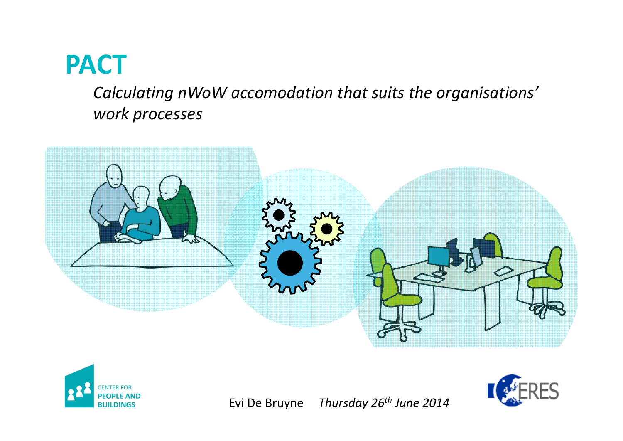# **PACT**

*Calculating nWoW accomodation that suits the organisations' work processes*







Evi DeBruyne *Thursday 26th June <sup>2014</sup>*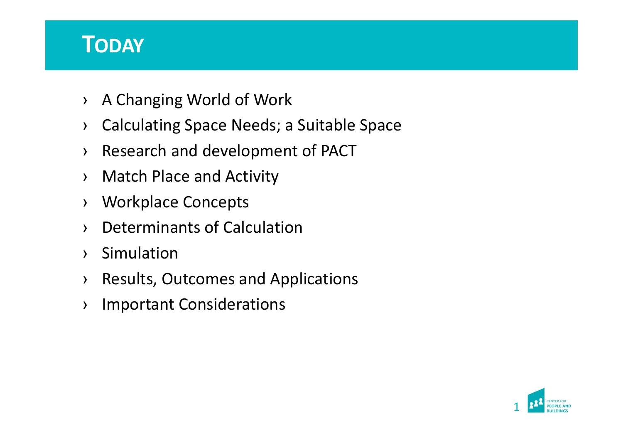## **TODAY**

- ›A Changing World of Work
- ›Calculating Space Needs; <sup>a</sup> Suitable Space
- ›Research and development of PACT
- ›Match Place and Activity
- ›Workplace Concepts
- ›Determinants of Calculation
- ›Simulation
- ›Results, Outcomes and Applications
- ›Important Considerations

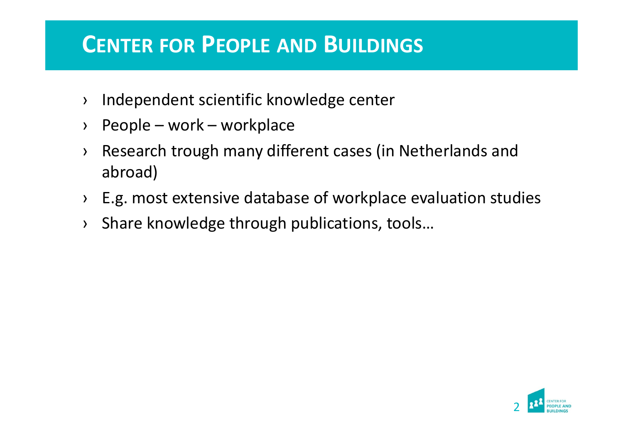## **CENTER FOR PEOPLE AND BUILDINGS**

- ›Independent scientific knowledge center
- ›People – work – workplace
- › Research trough many different cases (in Netherlands and abroad)
- ›E.g. most extensive database of workplace evaluation studies
- ›Share knowledge through publications, tools…

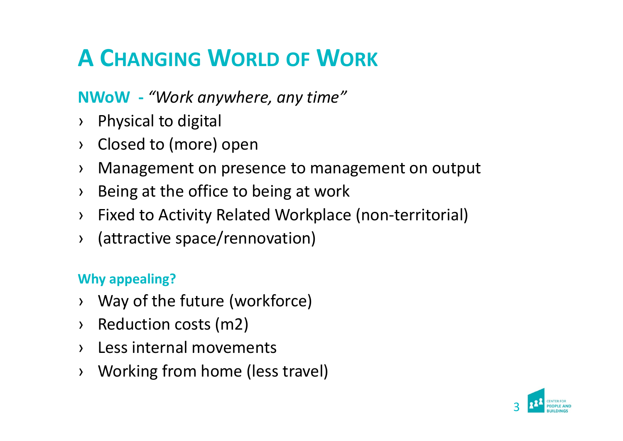# **A CHANGING WORLD OF WORK**

## **NWoW ‐** *"Work anywhere, any time"*

- › Physical to digital
- › Closed to (more) open
- ›Management on presence to management on output
- ›Being at the office to being at work
- › Fixed to Activity Related Workplace (non‐territorial)
- › (attractive space/rennovation)

#### **Why appealing?**

- › Way of the future (workforce)
- › Reduction costs (m2)
- › Less internal movements
- ›Working from home (less travel)

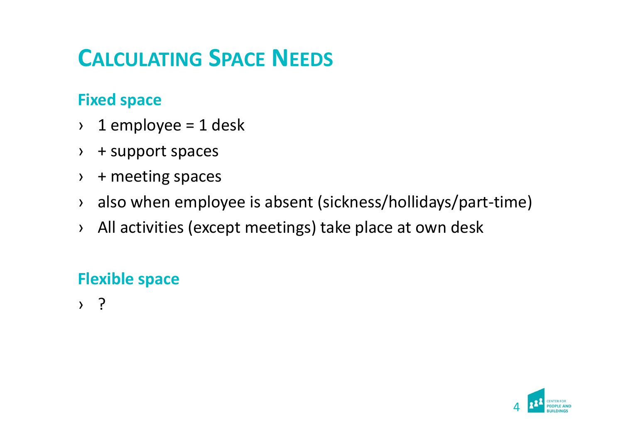# **CALCULATING SPACE NEEDS**

#### **Fixed space**

- ›1 employee <sup>=</sup> 1 desk
- › + support spaces
- ›+ meeting spaces
- › also when employee is absent (sickness/hollidays/part‐time)
- › All activities (except meetings) take place at own desk

## **Flexible space**

› ?

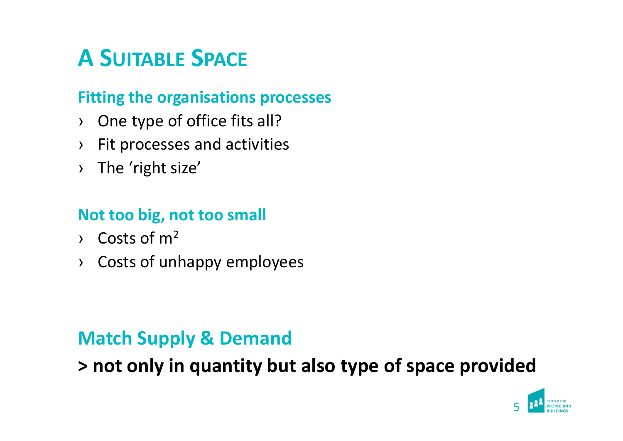# **A SUITABLE SPACE**

#### **Fitting the organisations processes**

- › One type of office fits all?
- ›Fit processes and activities
- › The 'right size'

### **Not too big, not too small**

- $\sim$  Costs of m<sup>2</sup>
- › Costs of unhappy employees

## **Match Supply & Demand**

**> not only in quantity but also type of space provided**

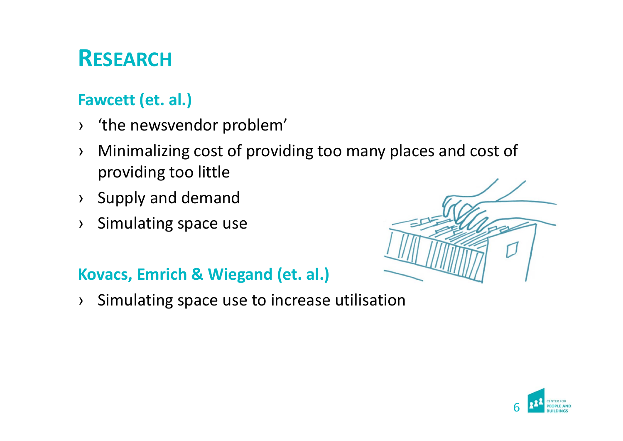# **RESEARCH**

## **Fawcett (et. al.)**

- › 'the newsvendor problem'
- › Minimalizing cost of providing too many places and cost of providing too little
- › Supply and demand
- ›Simulating space use

#### **Kovacs, Emrich & Wiegand (et. al.)**

›Simulating space use to increase utilisation



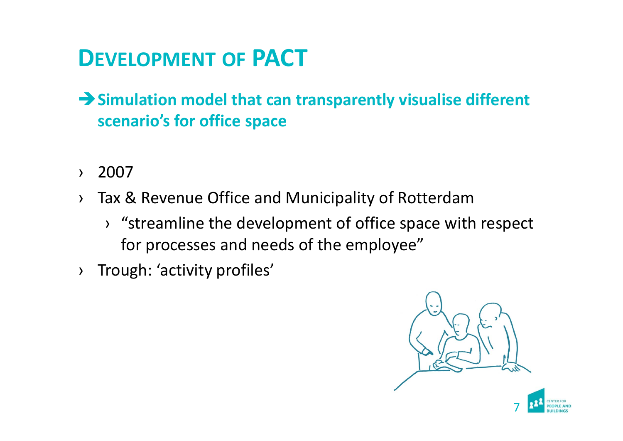# **DEVELOPMENT OF PACT**

- **Simulation model that can transparently visualise different scenario's for office space**
- ›2007
- › Tax & Revenue Office and Municipality of Rotterdam
	- › "streamline the development of office space with respect for processes and needs of the employee"
- ›Trough: 'activity profiles'



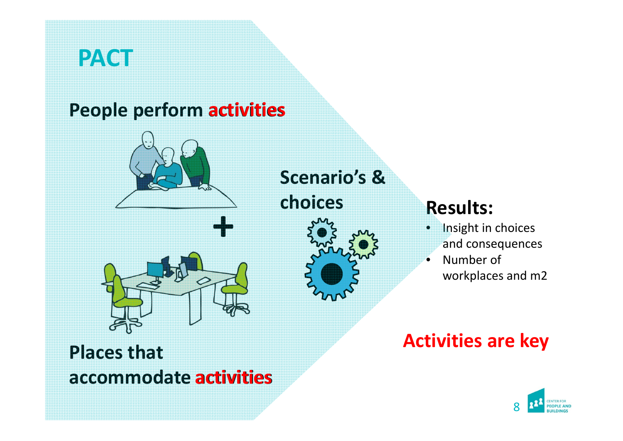## **PACT**

## **People perform activities**





**Scenario's & choices**

## **Results:**

 $\bullet$ 

- **Insight in choices** and consequences
- • Number of workplaces and m2

## **Activities are key**



**Places that accommodate activities activities**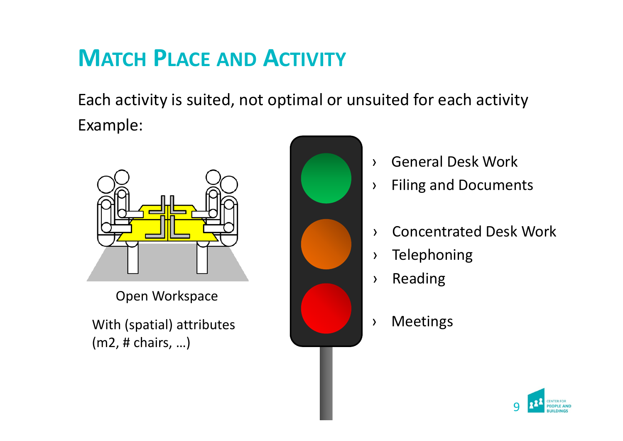# **MATCH PLACE AND ACTIVITY**

Each activity is suited, not optimal or unsuited for each activity Example:



Open Workspace

With (spatial) attributes **All Accept Accept Accept Accept Accept** > Meetings (m2, # chairs, …)



- ›General Desk Work
- ›Filing and Documents
- ›Concentrated Desk Work
- ›Telephoning
- ›Reading
- 

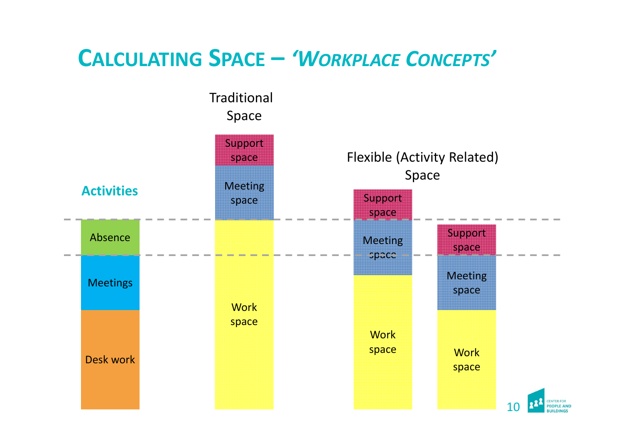## **CALCULATING SPACE –** *'WORKPLACE CONCEPTS'*

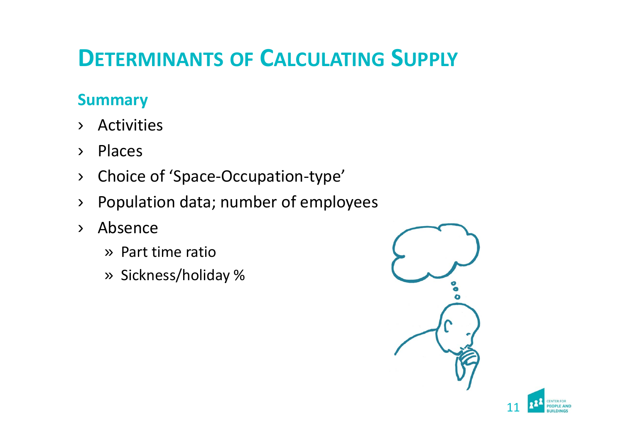# **DETERMINANTS OF CALCULATING SUPPLY**

### **Summary**

- ›Activities
- ›Places
- ›Choice of 'Space‐Occupation‐type'
- ›Population data; number of employees
- › Absence
	- » Part time ratio
	- » Sickness/holiday %



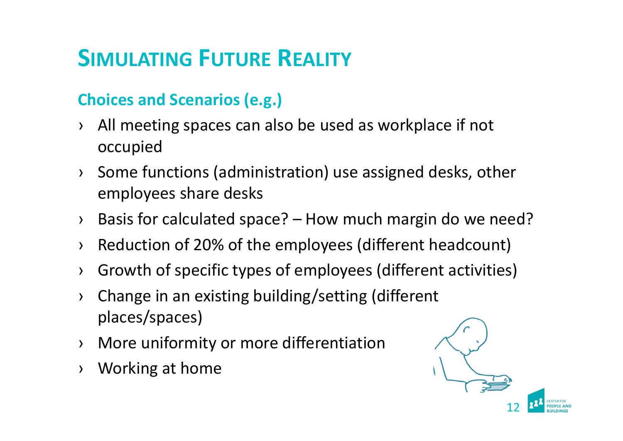# **SIMULATING FUTURE REALITY**

## **Choices and Scenarios (e.g.)**

- › All meeting spaces can also be used as workplace if not occupied
- › Some functions (administration) use assigned desks, other employees share desks
- › Basis for calculated space? How much margin do we need?
- ›Reduction of 20% of the employees (different headcount)
- ›Growth of specific types of employees (different activities)
- › Change in an existing building/setting (different places/spaces)
- › More uniformity or more differentiation
- ›Working at home

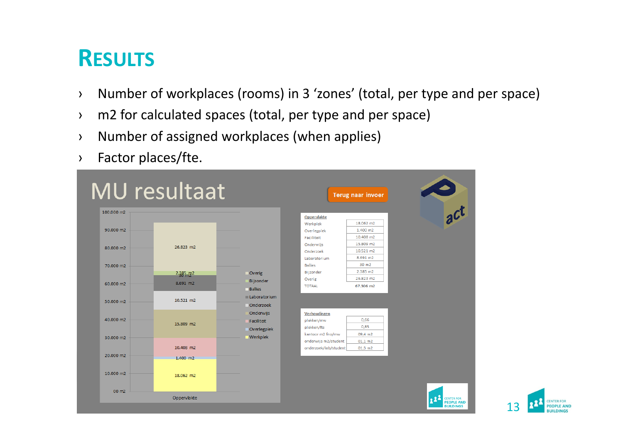# **RESULTS**

- ›Number of workplaces (rooms) in 3 'zones' (total, per type and per space)
- ›m2 for calculated spaces (total, per type and per space)
- ›Number of assigned workplaces (when applies)
- ›Factor places/fte.



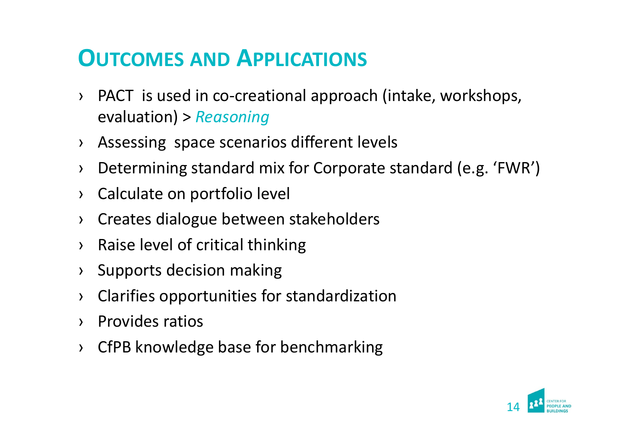# **OUTCOMES AND APPLICATIONS**

- › PACT is used in co‐creational approach (intake, workshops, evaluation) <sup>&</sup>gt; *Reasoning*
- › Assessing space scenarios different levels
- ›Determining standard mix for Corporate standard (e.g. 'FWR')
- ›Calculate on portfolio level
- ›Creates dialogue between stakeholders
- ›Raise level of critical thinking
- ›Supports decision making
- ›Clarifies opportunities for standardization
- ›Provides ratios
- › CfPB knowledge base for benchmarking

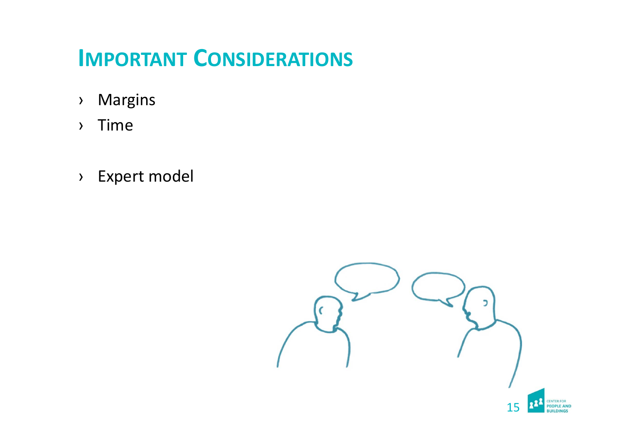# **IMPORTANT CONSIDERATIONS**

- ›Margins
- ›Time
- › Expert model